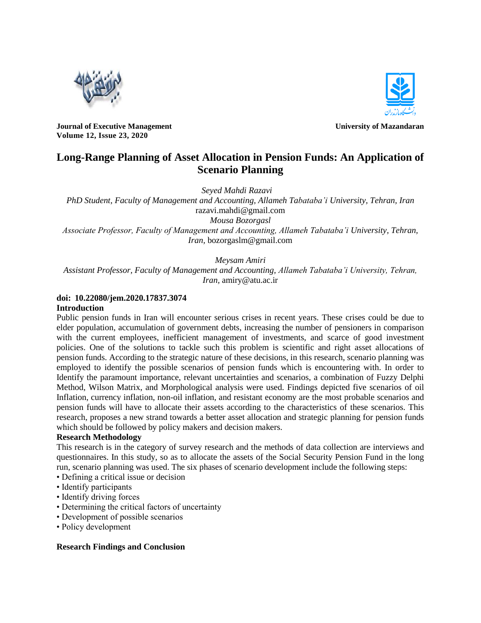



**Journal of Executive Management View School School School School School School School School School School School School School School School School School School School School School School School School School School Volume 12, Issue 23, 2020**

# **Long-Range Planning of Asset Allocation in Pension Funds: An Application of Scenario Planning**

*Seyed Mahdi Razavi*

*PhD Student, Faculty of Management and Accounting, Allameh Tabataba'i University, Tehran, Iran* razavi.mahdi@gmail.com *Mousa Bozorgasl Associate Professor, Faculty of Management and Accounting, Allameh Tabataba'i University, Tehran, Iran,* bozorgaslm@gmail.com

# *Meysam Amiri*

*Assistant Professor, Faculty of Management and Accounting, Allameh Tabataba'i University, Tehran, Iran,* amiry@atu.ac.ir

### **doi: 10.22080/jem.2020.17837.3074**

#### **Introduction**

Public pension funds in Iran will encounter serious crises in recent years. These crises could be due to elder population, accumulation of government debts, increasing the number of pensioners in comparison with the current employees, inefficient management of investments, and scarce of good investment policies. One of the solutions to tackle such this problem is scientific and right asset allocations of pension funds. According to the strategic nature of these decisions, in this research, scenario planning was employed to identify the possible scenarios of pension funds which is encountering with. In order to Identify the paramount importance, relevant uncertainties and scenarios, a combination of Fuzzy Delphi Method, Wilson Matrix, and Morphological analysis were used. Findings depicted five scenarios of oil Inflation, currency inflation, non-oil inflation, and resistant economy are the most probable scenarios and pension funds will have to allocate their assets according to the characteristics of these scenarios. This research, proposes a new strand towards a better asset allocation and strategic planning for pension funds which should be followed by policy makers and decision makers.

#### **Research Methodology**

This research is in the category of survey research and the methods of data collection are interviews and questionnaires. In this study, so as to allocate the assets of the Social Security Pension Fund in the long run, scenario planning was used. The six phases of scenario development include the following steps:

- Defining a critical issue or decision
- Identify participants
- Identify driving forces
- Determining the critical factors of uncertainty
- Development of possible scenarios
- Policy development

#### **Research Findings and Conclusion**